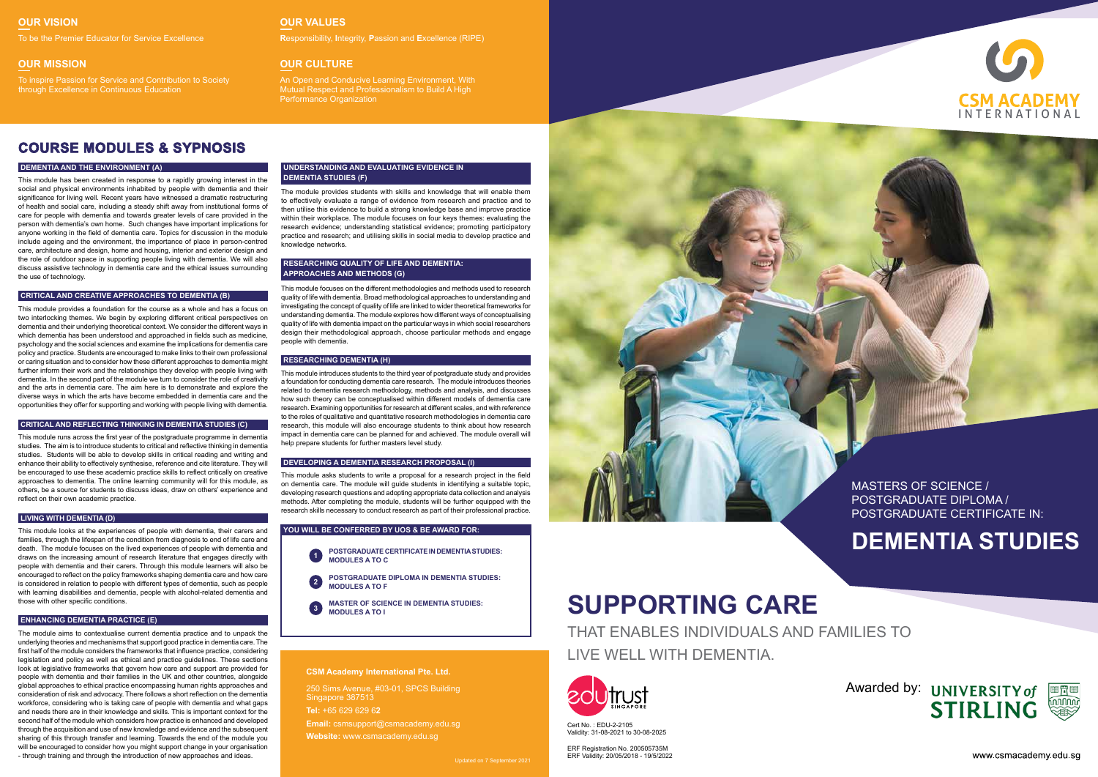# **SUPPORTING CARE**

THAT ENABLES INDIVIDUALS AND FAMILIES TO LIVE WELL WITH DEMENTIA.



Cert No. : EDU-2-2105 Validity: 31-08-2021 to 30-08-2025

ERF Registration No. 200505735M ERF Validity: 20/05/2018 - 19/5/2022



MASTERS OF SCIENCE / POSTGRADUATE DIPLOMA / POSTGRADUATE CERTIFICATE IN:

# **DEMENTIA STUDIES**



www.csmacademy.edu.sq

#### **OUR VISION**

#### **OUR MISSION**

### **OUR VALUES**

#### **OUR CULTURE**

To be the Premier Educator for Service Excellence **R**esponsibility, **I**ntegrity, **P**assion and **E**xcellence (RIPE)

To inspire Passion for Service and Contribution to Society through Excellence in Continuous Education

An Open and Conducive Learning Environment, With Mutual Respect and Professionalism to Build A High Performance Organization

# **COURSE MODULES & SYPNOSIS**

#### **DEMENTIA AND THE ENVIRONMENT (A)**

This module has been created in response to a rapidly growing interest in the social and physical environments inhabited by people with dementia and their significance for living well. Recent years have witnessed a dramatic restructuring of health and social care, including a steady shift away from institutional forms of care for people with dementia and towards greater levels of care provided in the person with dementia's own home. Such changes have important implications for anyone working in the field of dementia care. Topics for discussion in the module include ageing and the environment, the importance of place in person-centred care, architecture and design, home and housing, interior and exterior design and the role of outdoor space in supporting people living with dementia. We will also discuss assistive technology in dementia care and the ethical issues surrounding the use of technology.

#### **ENHANCING DEMENTIA PRACTICE (E)**

The module aims to contextualise current dementia practice and to unpack the underlying theories and mechanisms that support good practice in dementia care. The first half of the module considers the frameworks that influence practice, considering legislation and policy as well as ethical and practice guidelines. These sections look at legislative frameworks that govern how care and support are provided for people with dementia and their families in the UK and other countries, alongside global approaches to ethical practice encompassing human rights approaches and consideration of risk and advocacy. There follows a short reflection on the dementia workforce, considering who is taking care of people with dementia and what gaps and needs there are in their knowledge and skills. This is important context for the second half of the module which considers how practice is enhanced and developed through the acquisition and use of new knowledge and evidence and the subsequent sharing of this through transfer and learning. Towards the end of the module you will be encouraged to consider how you might support change in your organisation - through training and through the introduction of new approaches and ideas.

#### **CRITICAL AND CREATIVE APPROACHES TO DEMENTIA (B)**

This module provides a foundation for the course as a whole and has a focus on two interlocking themes. We begin by exploring different critical perspectives on dementia and their underlying theoretical context. We consider the different ways in which dementia has been understood and approached in fields such as medicine. psychology and the social sciences and examine the implications for dementia care policy and practice. Students are encouraged to make links to their own professional or caring situation and to consider how these different approaches to dementia might further inform their work and the relationships they develop with people living with dementia. In the second part of the module we turn to consider the role of creativity and the arts in dementia care. The aim here is to demonstrate and explore the diverse ways in which the arts have become embedded in dementia care and the opportunities they offer for supporting and working with people living with dementia.

#### **UNDERSTANDING AND EVALUATING EVIDENCE IN DEMENTIA STUDIES (F)**

The module provides students with skills and knowledge that will enable them to effectively evaluate a range of evidence from research and practice and to then utilise this evidence to build a strong knowledge base and improve practice within their workplace. The module focuses on four keys themes: evaluating the research evidence; understanding statistical evidence; promoting participatory practice and research; and utilising skills in social media to develop practice and knowledge networks.

#### **CRITICAL AND REFLECTING THINKING IN DEMENTIA STUDIES (C)**

This module runs across the first year of the postgraduate programme in dementia studies. The aim is to introduce students to critical and reflective thinking in dementia studies. Students will be able to develop skills in critical reading and writing and enhance their ability to effectively synthesise, reference and cite literature. They will be encouraged to use these academic practice skills to reflect critically on creative approaches to dementia. The online learning community will for this module, as others, be a source for students to discuss ideas, draw on others' experience and reflect on their own academic practice.

#### **RESEARCHING QUALITY OF LIFE AND DEMENTIA: APPROACHES AND METHODS (G)**

This module focuses on the different methodologies and methods used to research quality of life with dementia. Broad methodological approaches to understanding and investigating the concept of quality of life are linked to wider theoretical frameworks for understanding dementia. The module explores how different ways of conceptualising quality of life with dementia impact on the particular ways in which social researchers design their methodological approach, choose particular methods and engage people with dementia.

#### **LIVING WITH DEMENTIA (D)**

This module looks at the experiences of people with dementia, their carers and families, through the lifespan of the condition from diagnosis to end of life care and death. The module focuses on the lived experiences of people with dementia and draws on the increasing amount of research literature that engages directly with people with dementia and their carers. Through this module learners will also be encouraged to reflect on the policy frameworks shaping dementia care and how care is considered in relation to people with different types of dementia, such as people with learning disabilities and dementia, people with alcohol-related dementia and those with other specific conditions.

#### **RESEARCHING DEMENTIA (H)**

This module introduces students to the third year of postgraduate study and provides a foundation for conducting dementia care research. The module introduces theories related to dementia research methodology, methods and analysis, and discusses how such theory can be conceptualised within different models of dementia care research. Examining opportunities for research at different scales, and with reference to the roles of qualitative and quantitative research methodologies in dementia care research, this module will also encourage students to think about how research impact in dementia care can be planned for and achieved. The module overall will help prepare students for further masters level study.

#### **DEVELOPING A DEMENTIA RESEARCH PROPOSAL (I)**

This module asks students to write a proposal for a research project in the field on dementia care. The module will guide students in identifying a suitable topic, developing research questions and adopting appropriate data collection and analysis methods. After completing the module, students will be further equipped with the research skills necessary to conduct research as part of their professional practice.

#### **CSM Academy International Pte. Ltd.**

Updated on 7 September 2021



250 Sims Avenue, #03-01, SPCS Building Singapore 387513 **Tel:** +65 629 629 6**2 Email:** csmsupport@csmacademy.edu.sg **Website:** www.csmacademy.edu.sg

- **POSTGRADUATE CERTIFICATE IN DEMENTIA STUDIES: MODULES A TO C 1**
- **POSTGRADUATE DIPLOMA IN DEMENTIA STUDIES: MODULES A TO F 2**
- **MASTER OF SCIENCE IN DEMENTIA STUDIES: MODULES A TO I 3**

#### **YOU WILL BE CONFERRED BY UOS & BE AWARD FOR:**